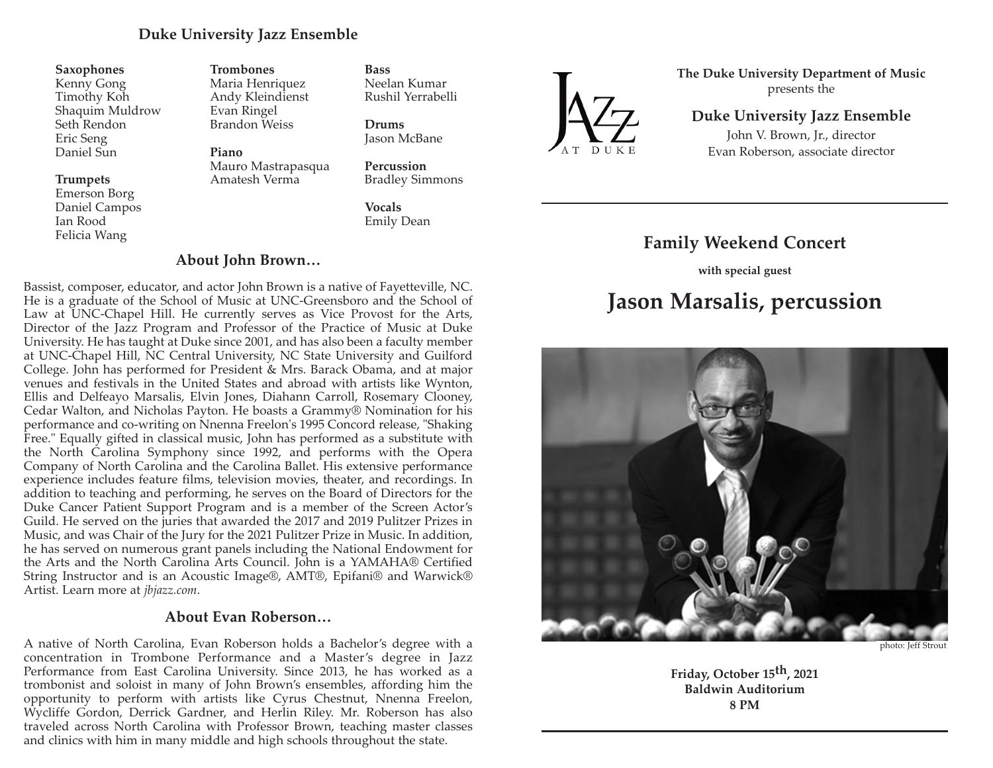### **Duke University Jazz Ensemble**

#### **Saxophones**

Kenny Gong Timothy Koh Shaquim Muldrow Seth Rendon Eric Seng Daniel Sun

#### **Trumpets**

Emerson Borg Daniel Campos Ian Rood Felicia Wang

**Trombones** Maria Henriquez Andy Kleindienst Evan Ringel Brandon Weiss

**Piano**  Mauro Mastrapasqua Amatesh Verma

**Percussion** Bradley Simmons

Neelan Kumar Rushil Yerrabelli

**Vocals** Emily Dean

**Bass**

**Drums** Jason McBane

### **About John Brown…**

Bassist, composer, educator, and actor John Brown is a native of Fayetteville, NC. He is a graduate of the School of Music at UNC-Greensboro and the School of Law at UNC-Chapel Hill. He currently serves as Vice Provost for the Arts, Director of the Jazz Program and Professor of the Practice of Music at Duke University. He has taught at Duke since 2001, and has also been a faculty member at UNC-Chapel Hill, NC Central University, NC State University and Guilford College. John has performed for President & Mrs. Barack Obama, and at major venues and festivals in the United States and abroad with artists like Wynton, Ellis and Delfeayo Marsalis, Elvin Jones, Diahann Carroll, Rosemary Clooney, Cedar Walton, and Nicholas Payton. He boasts a Grammy® Nomination for his performance and co-writing on Nnenna Freelon's 1995 Concord release, "Shaking Free." Equally gifted in classical music, John has performed as a substitute with the North Carolina Symphony since 1992, and performs with the Opera Company of North Carolina and the Carolina Ballet. His extensive performance experience includes feature films, television movies, theater, and recordings. In addition to teaching and performing, he serves on the Board of Directors for the Duke Cancer Patient Support Program and is a member of the Screen Actor's Guild. He served on the juries that awarded the 2017 and 2019 Pulitzer Prizes in Music, and was Chair of the Jury for the 2021 Pulitzer Prize in Music. In addition, he has served on numerous grant panels including the National Endowment for the Arts and the North Carolina Arts Council. John is a YAMAHA® Certified String Instructor and is an Acoustic Image®, AMT®, Epifani® and Warwick® Artist. Learn more at *jbjazz.com*.

#### **About Evan Roberson…**

A native of North Carolina, Evan Roberson holds a Bachelor's degree with a concentration in Trombone Performance and a Master's degree in Jazz Performance from East Carolina University. Since 2013, he has worked as a trombonist and soloist in many of John Brown's ensembles, affording him the opportunity to perform with artists like Cyrus Chestnut, Nnenna Freelon, Wycliffe Gordon, Derrick Gardner, and Herlin Riley. Mr. Roberson has also traveled across North Carolina with Professor Brown, teaching master classes and clinics with him in many middle and high schools throughout the state.



**The Duke University Department of Music**  presents the

### **Duke University Jazz Ensemble**

John V. Brown, Jr., director Evan Roberson, associate director

# **Family Weekend Concert**

**with special guest**

# **Jason Marsalis, percussion**



photo: Jeff Strout

**Friday, October 15th, 2021 Baldwin Auditorium 8 PM**